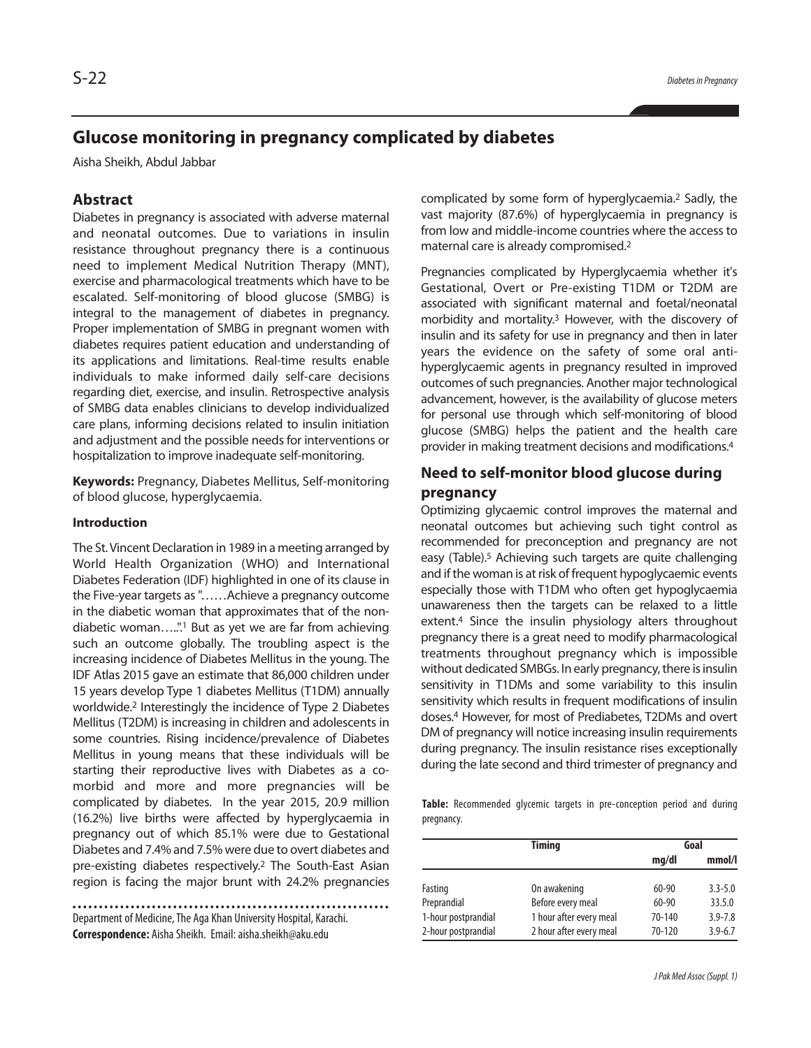# **Glucose monitoring in pregnancy complicated by diabetes**

Aisha Sheikh, Abdul Jabbar

## **Abstract**

Diabetes in pregnancy is associated with adverse maternal and neonatal outcomes. Due to variations in insulin resistance throughout pregnancy there is a continuous need to implement Medical Nutrition Therapy (MNT), exercise and pharmacological treatments which have to be escalated. Self-monitoring of blood glucose (SMBG) is integral to the management of diabetes in pregnancy. Proper implementation of SMBG in pregnant women with diabetes requires patient education and understanding of its applications and limitations. Real-time results enable individuals to make informed daily self-care decisions regarding diet, exercise, and insulin. Retrospective analysis of SMBG data enables clinicians to develop individualized care plans, informing decisions related to insulin initiation and adjustment and the possible needs for interventions or hospitalization to improve inadequate self-monitoring.

**Keywords:** Pregnancy, Diabetes Mellitus, Self-monitoring of blood glucose, hyperglycaemia.

#### **Introduction**

The St. Vincent Declaration in 1989 in a meeting arranged by World Health Organization (WHO) and International Diabetes Federation (IDF) highlighted in one of its clause in the Five-year targets as"……Achieve a pregnancy outcome in the diabetic woman that approximates that of the nondiabetic woman…..". <sup>1</sup> But as yet we are far from achieving such an outcome globally. The troubling aspect is the increasing incidence of Diabetes Mellitus in the young. The IDF Atlas 2015 gave an estimate that 86,000 children under 15 years develop Type 1 diabetes Mellitus (T1DM) annually worldwide. <sup>2</sup> Interestingly the incidence of Type 2 Diabetes Mellitus (T2DM) is increasing in children and adolescents in some countries. Rising incidence/prevalence of Diabetes Mellitus in young means that these individuals will be starting their reproductive lives with Diabetes as a comorbid and more and more pregnancies will be complicated by diabetes. In the year 2015, 20.9 million (16.2%) live births were affected by hyperglycaemia in pregnancy out of which 85.1% were due to Gestational Diabetes and 7.4% and 7.5% were due to overt diabetes and pre-existing diabetes respectively. <sup>2</sup> The South-East Asian region is facing the major brunt with 24.2% pregnancies

Department of Medicine, The Aga Khan University Hospital, Karachi. **Correspondence:** Aisha Sheikh. Email: aisha.sheikh@aku.edu

complicated by some form of hyperglycaemia. <sup>2</sup> Sadly, the vast majority (87.6%) of hyperglycaemia in pregnancy is from low and middle-income countries where the access to maternal care is already compromised. 2

Pregnancies complicated by Hyperglycaemia whether it's Gestational, Overt or Pre-existing T1DM or T2DM are associated with significant maternal and foetal/neonatal morbidity and mortality. <sup>3</sup> However, with the discovery of insulin and its safety for use in pregnancy and then in later years the evidence on the safety of some oral antihyperglycaemic agents in pregnancy resulted in improved outcomes of such pregnancies. Another major technological advancement, however, is the availability of glucose meters for personal use through which self-monitoring of blood glucose (SMBG) helps the patient and the health care provider in making treatment decisions and modifications. 4

# **Need to self-monitor blood glucose during pregnancy**

Optimizing glycaemic control improves the maternal and neonatal outcomes but achieving such tight control as recommended for preconception and pregnancy are not easy (Table). <sup>5</sup> Achieving such targets are quite challenging and if the woman is at risk of frequent hypoglycaemic events especially those with T1DM who often get hypoglycaemia unawareness then the targets can be relaxed to a little extent. <sup>4</sup> Since the insulin physiology alters throughout pregnancy there is a great need to modify pharmacological treatments throughout pregnancy which is impossible without dedicated SMBGs. In early pregnancy, there is insulin sensitivity in T1DMs and some variability to this insulin sensitivity which results in frequent modifications of insulin doses. <sup>4</sup> However, for most of Prediabetes, T2DMs and overt DM of pregnancy will notice increasing insulin requirements during pregnancy. The insulin resistance rises exceptionally during the late second and third trimester of pregnancy and

**Table:** Recommended glycemic targets in pre-conception period and during pregnancy.

|                     | <b>Timing</b>           | Goal      |             |
|---------------------|-------------------------|-----------|-------------|
|                     |                         | mq/dl     | mmol/l      |
| Fasting             | On awakening            | $60 - 90$ | $3.3 - 5.0$ |
| Preprandial         | Before every meal       | $60 - 90$ | 33.5.0      |
| 1-hour postprandial | 1 hour after every meal | 70-140    | $3.9 - 7.8$ |
| 2-hour postprandial | 2 hour after every meal | 70-120    | $3.9 - 6.7$ |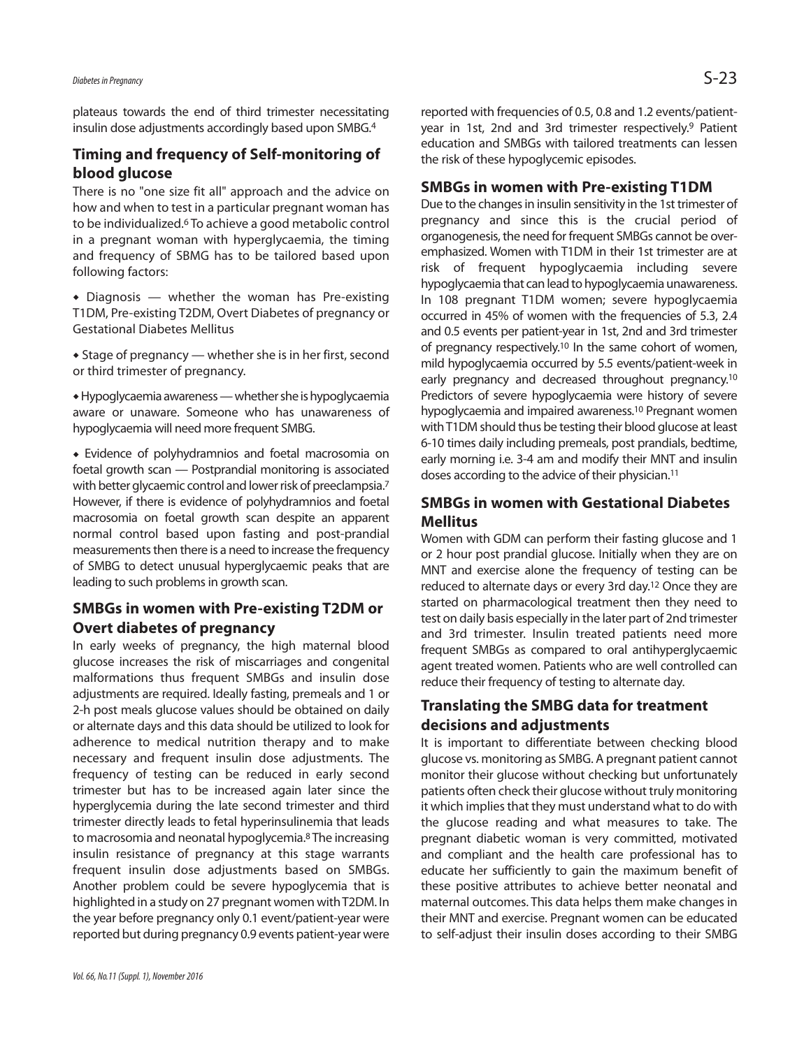plateaus towards the end of third trimester necessitating insulin dose adjustments accordingly based upon SMBG. 4

## **Timing and frequency of Self-monitoring of blood glucose**

There is no "one size fit all" approach and the advice on how and when to test in a particular pregnant woman has to be individualized. <sup>6</sup> To achieve a good metabolic control in a pregnant woman with hyperglycaemia, the timing and frequency of SBMG has to be tailored based upon following factors:

 Diagnosis — whether the woman has Pre-existing T1DM, Pre-existing T2DM, Overt Diabetes of pregnancy or Gestational Diabetes Mellitus

 Stage of pregnancy — whether she is in her first, second or third trimester of pregnancy.

 Hypoglycaemia awareness—whethershe ishypoglycaemia aware or unaware. Someone who has unawareness of hypoglycaemia will need more frequent SMBG.

 Evidence of polyhydramnios and foetal macrosomia on foetal growth scan — Postprandial monitoring is associated with better glycaemic control and lower risk of preeclampsia.<sup>7</sup> However, if there is evidence of polyhydramnios and foetal macrosomia on foetal growth scan despite an apparent normal control based upon fasting and post-prandial measurements then there is a need to increase the frequency of SMBG to detect unusual hyperglycaemic peaks that are leading to such problems in growth scan.

# **SMBGs in women with Pre-existing T2DM or Overt diabetes of pregnancy**

In early weeks of pregnancy, the high maternal blood glucose increases the risk of miscarriages and congenital malformations thus frequent SMBGs and insulin dose adjustments are required. Ideally fasting, premeals and 1 or 2-h post meals glucose values should be obtained on daily or alternate days and this data should be utilized to look for adherence to medical nutrition therapy and to make necessary and frequent insulin dose adjustments. The frequency of testing can be reduced in early second trimester but has to be increased again later since the hyperglycemia during the late second trimester and third trimester directly leads to fetal hyperinsulinemia that leads to macrosomia and neonatal hypoglycemia. <sup>8</sup> The increasing insulin resistance of pregnancy at this stage warrants frequent insulin dose adjustments based on SMBGs. Another problem could be severe hypoglycemia that is highlighted in a study on 27 pregnant women with T2DM. In the year before pregnancy only 0.1 event/patient-year were reported but during pregnancy 0.9 events patient-year were reported with frequencies of 0.5, 0.8 and 1.2 events/patientyear in 1st, 2nd and 3rd trimester respectively. <sup>9</sup> Patient education and SMBGs with tailored treatments can lessen the risk of these hypoglycemic episodes.

#### **SMBGs in women with Pre-existing T1DM**

Due to the changes in insulin sensitivity in the 1st trimester of pregnancy and since this is the crucial period of organogenesis, the need for frequent SMBGs cannot be overemphasized. Women with T1DM in their 1st trimester are at risk of frequent hypoglycaemia including severe hypoglycaemia that can lead to hypoglycaemia unawareness. In 108 pregnant T1DM women; severe hypoglycaemia occurred in 45% of women with the frequencies of 5.3, 2.4 and 0.5 events per patient-year in 1st, 2nd and 3rd trimester of pregnancy respectively. <sup>10</sup> In the same cohort of women, mild hypoglycaemia occurred by 5.5 events/patient-week in early pregnancy and decreased throughout pregnancy.<sup>10</sup> Predictors of severe hypoglycaemia were history of severe hypoglycaemia and impaired awareness. 10 Pregnant women with T1DM should thus be testing their blood glucose at least 6-10 times daily including premeals, post prandials, bedtime, early morning i.e. 3-4 am and modify their MNT and insulin doses according to the advice of their physician. 11

## **SMBGs in women with Gestational Diabetes Mellitus**

Women with GDM can perform their fasting glucose and 1 or 2 hour post prandial glucose. Initially when they are on MNT and exercise alone the frequency of testing can be reduced to alternate days or every 3rd day. <sup>12</sup> Once they are started on pharmacological treatment then they need to test on daily basis especially in the later part of 2nd trimester and 3rd trimester. Insulin treated patients need more frequent SMBGs as compared to oral antihyperglycaemic agent treated women. Patients who are well controlled can reduce their frequency of testing to alternate day.

# **Translating the SMBG data for treatment decisions and adjustments**

It is important to differentiate between checking blood glucose vs. monitoring as SMBG. A pregnant patient cannot monitor their glucose without checking but unfortunately patients often check their glucose without truly monitoring it which implies that they must understand what to do with the glucose reading and what measures to take. The pregnant diabetic woman is very committed, motivated and compliant and the health care professional has to educate her sufficiently to gain the maximum benefit of these positive attributes to achieve better neonatal and maternal outcomes. This data helps them make changes in their MNT and exercise. Pregnant women can be educated to self-adjust their insulin doses according to their SMBG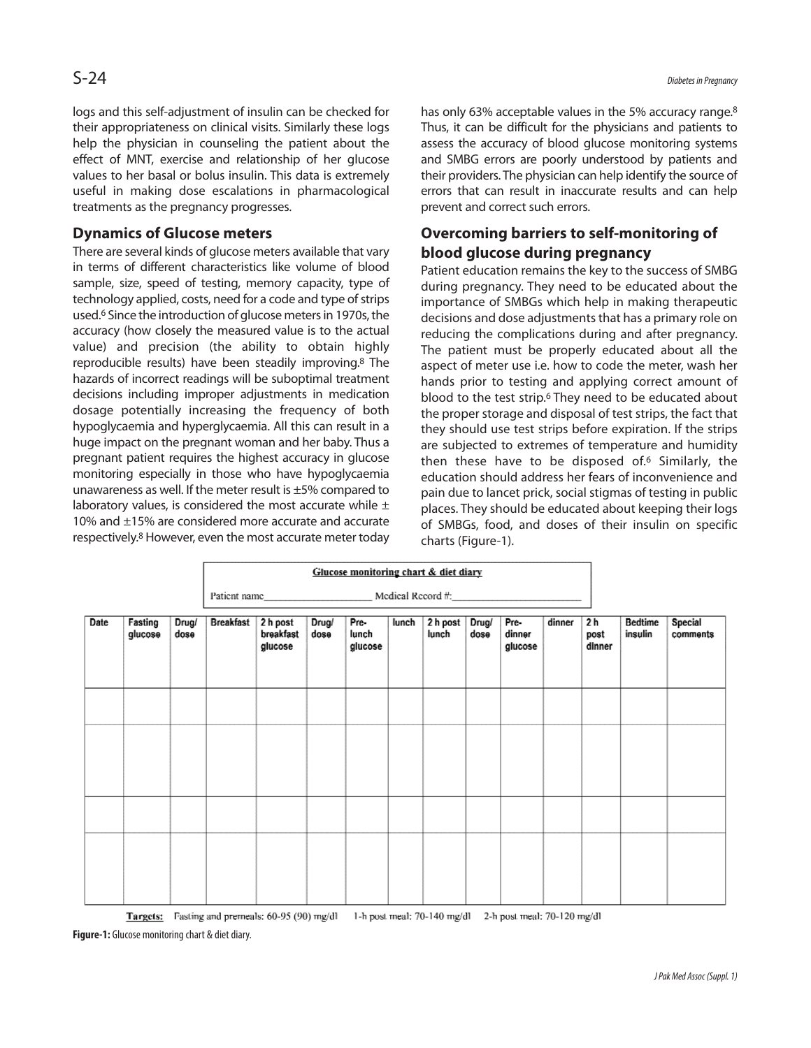logs and this self-adjustment of insulin can be checked for their appropriateness on clinical visits. Similarly these logs help the physician in counseling the patient about the effect of MNT, exercise and relationship of her glucose values to her basal or bolus insulin. This data is extremely useful in making dose escalations in pharmacological treatments as the pregnancy progresses.

### **Dynamics of Glucose meters**

There are several kinds of glucose meters available that vary in terms of different characteristics like volume of blood sample, size, speed of testing, memory capacity, type of technology applied, costs, need for a code and type of strips used.<sup>6</sup> Since the introduction of glucose meters in 1970s, the accuracy (how closely the measured value is to the actual value) and precision (the ability to obtain highly reproducible results) have been steadily improving. <sup>8</sup> The hazards of incorrect readings will be suboptimal treatment decisions including improper adjustments in medication dosage potentially increasing the frequency of both hypoglycaemia and hyperglycaemia. All this can result in a huge impact on the pregnant woman and her baby. Thus a pregnant patient requires the highest accuracy in glucose monitoring especially in those who have hypoglycaemia unawareness as well. If the meter result is ±5% compared to laboratory values, is considered the most accurate while  $\pm$ 10% and ±15% are considered more accurate and accurate respectively. <sup>8</sup> However, even the most accurate meter today

has only 63% acceptable values in the 5% accuracy range.<sup>8</sup> Thus, it can be difficult for the physicians and patients to assess the accuracy of blood glucose monitoring systems and SMBG errors are poorly understood by patients and their providers. The physician can help identify the source of errors that can result in inaccurate results and can help prevent and correct such errors.

# **Overcoming barriers to self-monitoring of blood glucose during pregnancy**

Patient education remains the key to the success of SMBG during pregnancy. They need to be educated about the importance of SMBGs which help in making therapeutic decisions and dose adjustments that has a primary role on reducing the complications during and after pregnancy. The patient must be properly educated about all the aspect of meter use i.e. how to code the meter, wash her hands prior to testing and applying correct amount of blood to the test strip.<sup>6</sup> They need to be educated about the proper storage and disposal of test strips, the fact that they should use test strips before expiration. If the strips are subjected to extremes of temperature and humidity then these have to be disposed of. <sup>6</sup> Similarly, the education should address her fears of inconvenience and pain due to lancet prick, social stigmas of testing in public places. They should be educated about keeping their logs of SMBGs, food, and doses of their insulin on specific charts (Figure-1).

|      |                    |               | Glucose monitoring chart & diet diary |                                  |               |                          |       |                   |               |                           |        |                                  |                    |                            |
|------|--------------------|---------------|---------------------------------------|----------------------------------|---------------|--------------------------|-------|-------------------|---------------|---------------------------|--------|----------------------------------|--------------------|----------------------------|
|      |                    |               |                                       |                                  |               |                          |       |                   |               |                           |        |                                  |                    |                            |
| Date | Fasting<br>glucose | Drug/<br>dose | <b>Breakfast</b>                      | 2 h post<br>breakfast<br>glucose | Drug/<br>dose | Pre-<br>lunch<br>glucose | lunch | 2 h post<br>lunch | Drug/<br>dose | Pre-<br>dinner<br>glucose | dinner | 2 <sub>h</sub><br>post<br>dinner | Bedtime<br>insulin | <b>Special</b><br>comments |
|      |                    |               |                                       |                                  |               |                          |       |                   |               |                           |        |                                  |                    |                            |
|      |                    |               |                                       |                                  |               |                          |       |                   |               |                           |        |                                  |                    |                            |
|      |                    |               |                                       |                                  |               |                          |       |                   |               |                           |        |                                  |                    |                            |
|      |                    |               |                                       |                                  |               |                          |       |                   |               |                           |        |                                  |                    |                            |

Targets: Fasting and premeals: 60-95 (90) mg/dl 1-h post meal: 70-140 mg/dl 2-h post meal: 70-120 mg/dl

**Figure-1:** Glucose monitoring chart & diet diary.